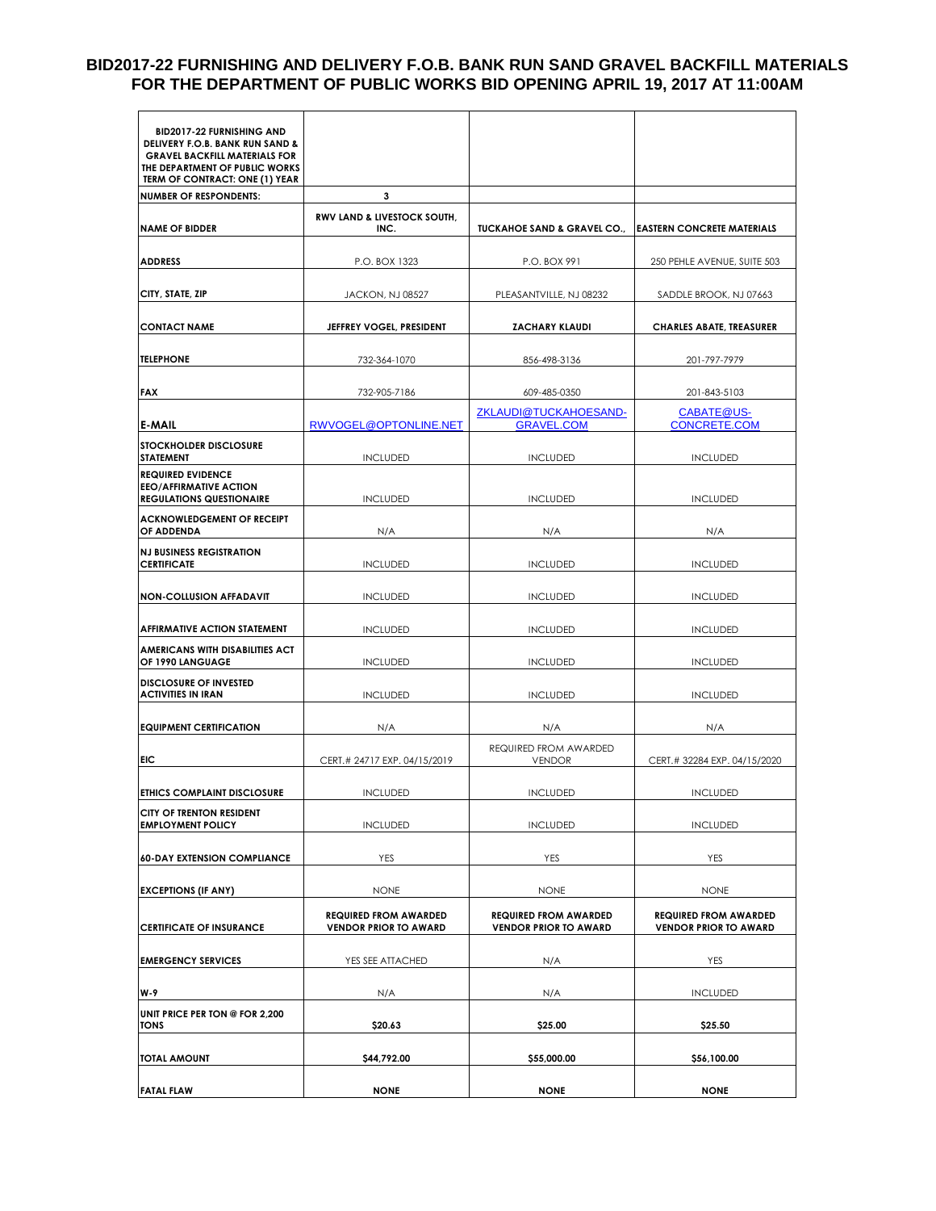#### **BID2017-22 FURNISHING AND DELIVERY F.O.B. BANK RUN SAND GRAVEL BACKFILL MATERIALS FOR THE DEPARTMENT OF PUBLIC WORKS BID OPENING APRIL 19, 2017 AT 11:00AM**

| <b>BID2017-22 FURNISHING AND</b><br>DELIVERY F.O.B. BANK RUN SAND &<br><b>GRAVEL BACKFILL MATERIALS FOR</b><br>THE DEPARTMENT OF PUBLIC WORKS<br>TERM OF CONTRACT: ONE (1) YEAR |                                                              |                                                              |                                                              |  |
|---------------------------------------------------------------------------------------------------------------------------------------------------------------------------------|--------------------------------------------------------------|--------------------------------------------------------------|--------------------------------------------------------------|--|
| <b>NUMBER OF RESPONDENTS:</b>                                                                                                                                                   | 3                                                            |                                                              |                                                              |  |
| <b>NAME OF BIDDER</b>                                                                                                                                                           | <b>RWV LAND &amp; LIVESTOCK SOUTH,</b><br>INC.               | <b>TUCKAHOE SAND &amp; GRAVEL CO.,</b>                       | <b>EASTERN CONCRETE MATERIALS</b>                            |  |
| <b>ADDRESS</b>                                                                                                                                                                  | P.O. BOX 1323                                                | P.O. BOX 991                                                 | 250 PEHLE AVENUE, SUITE 503                                  |  |
| CITY, STATE, ZIP                                                                                                                                                                | JACKON, NJ 08527<br>PLEASANTVILLE, NJ 08232                  |                                                              | SADDLE BROOK, NJ 07663                                       |  |
| <b>CONTACT NAME</b>                                                                                                                                                             | JEFFREY VOGEL, PRESIDENT                                     | <b>ZACHARY KLAUDI</b>                                        | <b>CHARLES ABATE, TREASURER</b>                              |  |
| <b>TELEPHONE</b>                                                                                                                                                                | 732-364-1070                                                 | 856-498-3136                                                 | 201-797-7979                                                 |  |
| <b>FAX</b>                                                                                                                                                                      | 732-905-7186                                                 | 609-485-0350                                                 | 201-843-5103                                                 |  |
| <b>E-MAIL</b>                                                                                                                                                                   | RWVOGEL@OPTONLINE.NET                                        | ZKLAUDI@TUCKAHOESAND-<br><b>GRAVEL.COM</b>                   | <b>CABATE@US-</b><br><b>CONCRETE.COM</b>                     |  |
| STOCKHOLDER DISCLOSURE<br><b>STATEMENT</b>                                                                                                                                      | <b>INCLUDED</b>                                              | <b>INCLUDED</b>                                              | <b>INCLUDED</b>                                              |  |
| <b>REQUIRED EVIDENCE</b><br><b>EEO/AFFIRMATIVE ACTION</b><br><b>REGULATIONS QUESTIONAIRE</b>                                                                                    | <b>INCLUDED</b>                                              | <b>INCLUDED</b>                                              | <b>INCLUDED</b>                                              |  |
| <b>ACKNOWLEDGEMENT OF RECEIPT</b><br><b>OF ADDENDA</b>                                                                                                                          | N/A                                                          | N/A                                                          | N/A                                                          |  |
| <b>NJ BUSINESS REGISTRATION</b><br><b>CERTIFICATE</b>                                                                                                                           | <b>INCLUDED</b>                                              | <b>INCLUDED</b>                                              | <b>INCLUDED</b>                                              |  |
| <b>NON-COLLUSION AFFADAVIT</b>                                                                                                                                                  | <b>INCLUDED</b>                                              | <b>INCLUDED</b>                                              | <b>INCLUDED</b>                                              |  |
| <b>AFFIRMATIVE ACTION STATEMENT</b>                                                                                                                                             | <b>INCLUDED</b>                                              | <b>INCLUDED</b>                                              | <b>INCLUDED</b>                                              |  |
| AMERICANS WITH DISABILITIES ACT<br>OF 1990 LANGUAGE                                                                                                                             | <b>INCLUDED</b>                                              | <b>INCLUDED</b>                                              | <b>INCLUDED</b>                                              |  |
| <b>DISCLOSURE OF INVESTED</b><br><b>ACTIVITIES IN IRAN</b>                                                                                                                      | <b>INCLUDED</b>                                              | <b>INCLUDED</b>                                              | <b>INCLUDED</b>                                              |  |
| <b>EQUIPMENT CERTIFICATION</b>                                                                                                                                                  | N/A                                                          | N/A                                                          | N/A                                                          |  |
| EIC                                                                                                                                                                             | REQUIRED FROM AWARDED<br>CERT.# 24717 EXP. 04/15/2019        |                                                              | CERT.# 32284 EXP. 04/15/2020                                 |  |
| <b>ETHICS COMPLAINT DISCLOSURE</b>                                                                                                                                              | <b>INCLUDED</b>                                              | <b>INCLUDED</b>                                              | <b>INCLUDED</b>                                              |  |
| <b>CITY OF TRENTON RESIDENT</b><br><b>EMPLOYMENT POLICY</b>                                                                                                                     | <b>INCLUDED</b>                                              | <b>INCLUDED</b>                                              | <b>INCLUDED</b>                                              |  |
| <b>60-DAY EXTENSION COMPLIANCE</b>                                                                                                                                              | YES                                                          | YES                                                          | YES                                                          |  |
| <b>EXCEPTIONS (IF ANY)</b>                                                                                                                                                      | <b>NONE</b>                                                  | <b>NONE</b>                                                  | <b>NONE</b>                                                  |  |
| <b>CERTIFICATE OF INSURANCE</b>                                                                                                                                                 | <b>REQUIRED FROM AWARDED</b><br><b>VENDOR PRIOR TO AWARD</b> | <b>REQUIRED FROM AWARDED</b><br><b>VENDOR PRIOR TO AWARD</b> | <b>REQUIRED FROM AWARDED</b><br><b>VENDOR PRIOR TO AWARD</b> |  |
| <b>EMERGENCY SERVICES</b>                                                                                                                                                       | YES SEE ATTACHED                                             | N/A                                                          | YES                                                          |  |
| W-9                                                                                                                                                                             | N/A                                                          | N/A                                                          | <b>INCLUDED</b>                                              |  |
| UNIT PRICE PER TON @ FOR 2,200<br><b>TONS</b>                                                                                                                                   | \$20.63                                                      | \$25.00                                                      | \$25.50                                                      |  |
| <b>TOTAL AMOUNT</b>                                                                                                                                                             | \$44,792.00                                                  | \$55,000.00                                                  | \$56,100.00                                                  |  |
| <b>FATAL FLAW</b>                                                                                                                                                               | <b>NONE</b>                                                  | <b>NONE</b>                                                  | <b>NONE</b>                                                  |  |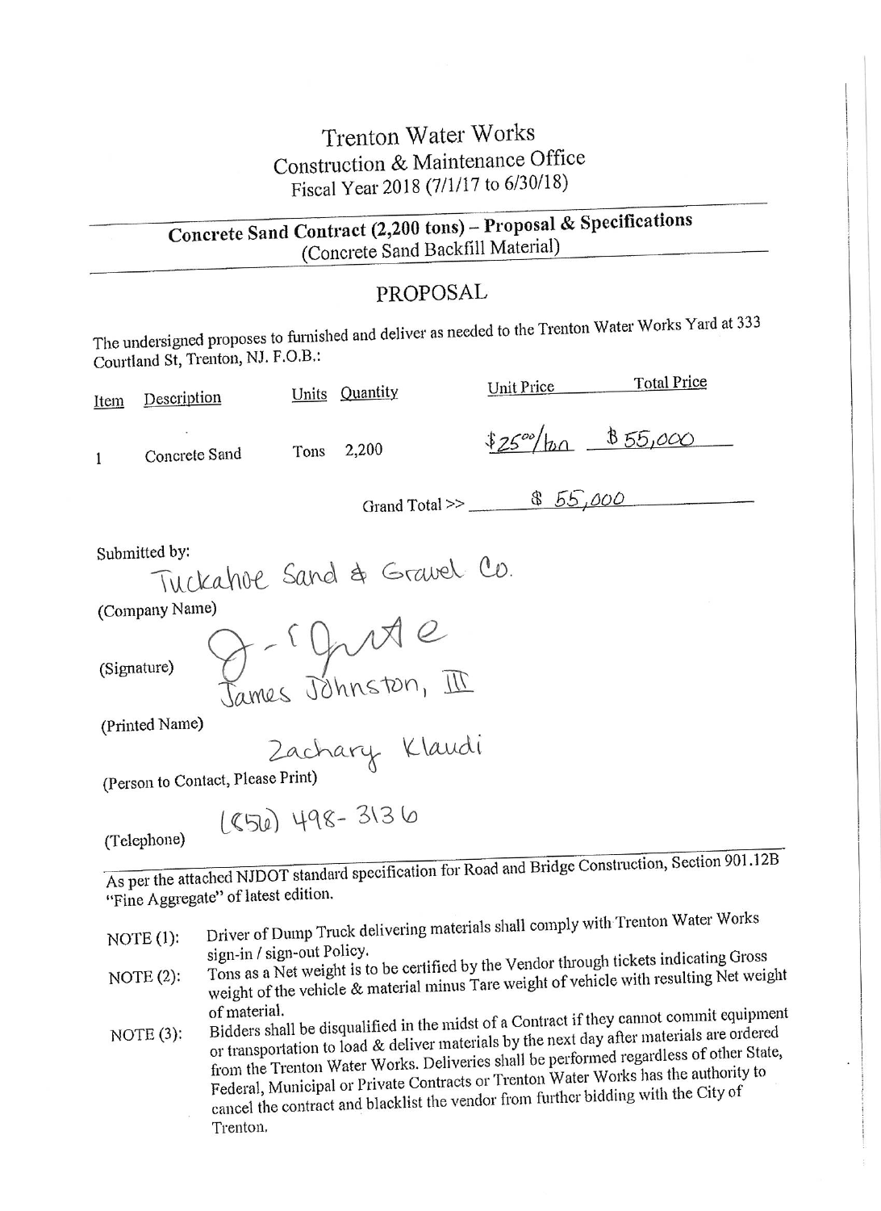## Trenton Water Works Construction & Maintenance Office Fiscal Year 2018 (7/1/17 to 6/30/18)

Concrete Sand Contract (2,200 tons) - Proposal & Specifications (Concrete Sand Backfill Material)

### PROPOSAL

The undersigned proposes to furnished and deliver as needed to the Trenton Water Works Yard at 333 Courtland St, Trenton, NJ. F.O.B.:

| Item        | Description                       |      | Units Quantity                   | Unit Price | <b>Total Price</b>                 |
|-------------|-----------------------------------|------|----------------------------------|------------|------------------------------------|
| 1           | Concrete Sand                     | Tons | 2,200                            |            | $$25^{\circ\circ}/h\alpha$855,000$ |
|             |                                   |      | Grand Total >> $$55,000$         |            |                                    |
|             | Submitted by:                     |      | Tuckahoe Sand & Gravel Co.       |            |                                    |
|             | (Company Name)                    |      |                                  |            |                                    |
| (Signature) |                                   |      | g-r grite<br>James Johnston, III |            |                                    |
|             | (Printed Name)                    |      |                                  |            |                                    |
|             |                                   |      | Zachary Klaudi                   |            |                                    |
|             | (Person to Contact, Please Print) |      |                                  |            |                                    |
|             | (Telephone)                       |      | 1856) 498-3136                   |            | $\cdots$ 001.10                    |

As per the attached NJDOT standard specification for Road and Bridge Construction, Section 901.12B "Fine Aggregate" of latest edition.

- Driver of Dump Truck delivering materials shall comply with Trenton Water Works  $NOTE(1)$ : sign-in / sign-out Policy.
- Tons as a Net weight is to be certified by the Vendor through tickets indicating Gross weight of the vehicle & material minus Tare weight of vehicle with resulting Net weight  $NOTE(2)$ : of material.
- Bidders shall be disqualified in the midst of a Contract if they cannot commit equipment or transportation to load & deliver materials by the next day after materials are ordered  $NOTE(3):$ from the Trenton Water Works. Deliveries shall be performed regardless of other State, Federal, Municipal or Private Contracts or Trenton Water Works has the authority to cancel the contract and blacklist the vendor from further bidding with the City of Trenton.